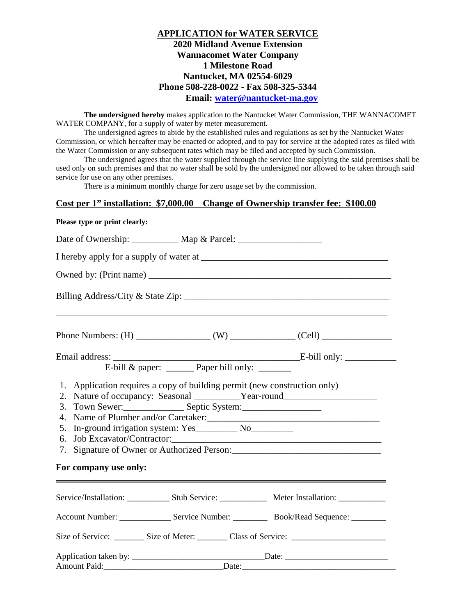## **APPLICATION for WATER SERVICE 2020 Midland Avenue Extension Wannacomet Water Company 1 Milestone Road Nantucket, MA 02554-6029 Phone 508-228-0022 - Fax 508-325-5344 Email: water@nantucket-ma.gov**

**The undersigned hereby** makes application to the Nantucket Water Commission, THE WANNACOMET WATER COMPANY, for a supply of water by meter measurement.

The undersigned agrees to abide by the established rules and regulations as set by the Nantucket Water Commission, or which hereafter may be enacted or adopted, and to pay for service at the adopted rates as filed with the Water Commission or any subsequent rates which may be filed and accepted by such Commission.

The undersigned agrees that the water supplied through the service line supplying the said premises shall be used only on such premises and that no water shall be sold by the undersigned nor allowed to be taken through said service for use on any other premises.

There is a minimum monthly charge for zero usage set by the commission.

## **Cost per 1" installation: \$7,000.00 Change of Ownership transfer fee: \$100.00**

## **Please type or print clearly:**

| ,我们也不能在这里的时候,我们也不能在这里的时候,我们也不能会在这里的时候,我们也不能会在这里的时候,我们也不能会在这里的时候,我们也不能会在这里的时候,我们也不                                                                                     |       |  |  |  |  |
|-----------------------------------------------------------------------------------------------------------------------------------------------------------------------|-------|--|--|--|--|
|                                                                                                                                                                       |       |  |  |  |  |
|                                                                                                                                                                       |       |  |  |  |  |
| 1. Application requires a copy of building permit (new construction only)<br>2.<br>5.<br>6.<br>For company use only:<br><u> 1989 - Andrea Andrew Maria (h. 1989).</u> |       |  |  |  |  |
|                                                                                                                                                                       |       |  |  |  |  |
|                                                                                                                                                                       |       |  |  |  |  |
| Size of Service: __________ Size of Meter: _________ Class of Service: _____________________________                                                                  |       |  |  |  |  |
| Amount Paid:                                                                                                                                                          | Date: |  |  |  |  |